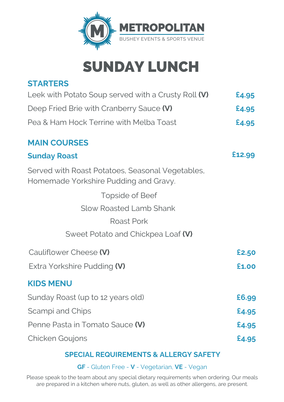

# SUNDAY LUNCH

### **STARTERS**

| Leek with Potato Soup served with a Crusty Roll (V) | £4.95 |
|-----------------------------------------------------|-------|
| Deep Fried Brie with Cranberry Sauce (V)            | £4.95 |
| Pea & Ham Hock Terrine with Melba Toast             | £4.95 |

#### **MAIN COURSES**

| <b>Sunday Roast</b>                                                                       | £12.99 |
|-------------------------------------------------------------------------------------------|--------|
| Served with Roast Potatoes, Seasonal Vegetables,<br>Homemade Yorkshire Pudding and Gravy. |        |
| Topside of Beef                                                                           |        |
| <b>Slow Roasted Lamb Shank</b>                                                            |        |
| <b>Roast Pork</b>                                                                         |        |
| Sweet Potato and Chickpea Loaf (V)                                                        |        |
| Cauliflower Cheese (V)                                                                    | £2.50  |
| Extra Yorkshire Pudding (V)                                                               | £1.00  |
| <b>KIDS MENU</b>                                                                          |        |
| Sunday Roast (up to 12 years old)                                                         | £6.99  |
| Scampi and Chips                                                                          | £4.95  |
| Penne Pasta in Tomato Sauce (V)                                                           | £4.95  |
| <b>Chicken Goujons</b>                                                                    | £4.95  |

### **SPECIAL REQUIREMENTS & ALLERGY SAFETY**

**GF** - Gluten Free - **V** - Vegetarian, **VE** - Vegan

Please speak to the team about any special dietary requirements when ordering. Our meals are prepared in a kitchen where nuts, gluten, as well as other allergens, are present.